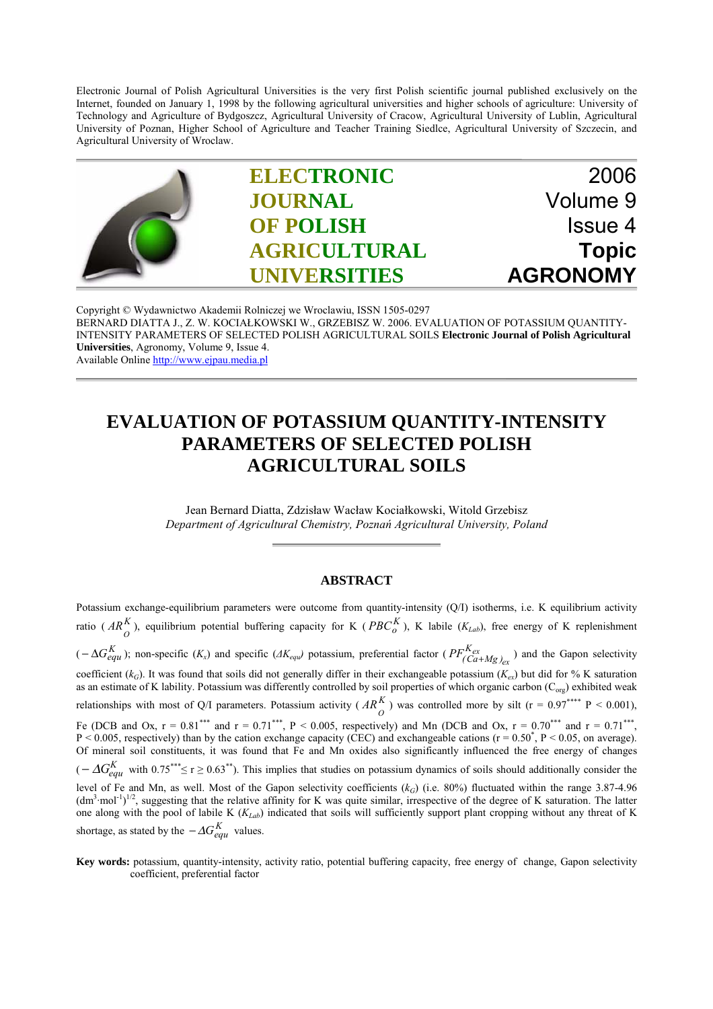Electronic Journal of Polish Agricultural Universities is the very first Polish scientific journal published exclusively on the Internet, founded on January 1, 1998 by the following agricultural universities and higher schools of agriculture: University of Technology and Agriculture of Bydgoszcz, Agricultural University of Cracow, Agricultural University of Lublin, Agricultural University of Poznan, Higher School of Agriculture and Teacher Training Siedlce, Agricultural University of Szczecin, and Agricultural University of Wroclaw.



Copyright © Wydawnictwo Akademii Rolniczej we Wroclawiu, ISSN 1505-0297 BERNARD DIATTA J., Z. W. KOCIAŁKOWSKI W., GRZEBISZ W. 2006. EVALUATION OF POTASSIUM QUANTITY-INTENSITY PARAMETERS OF SELECTED POLISH AGRICULTURAL SOILS **Electronic Journal of Polish Agricultural Universities**, Agronomy, Volume 9, Issue 4. Available Online http://www.ejpau.media.pl

## **EVALUATION OF POTASSIUM QUANTITY-INTENSITY PARAMETERS OF SELECTED POLISH AGRICULTURAL SOILS**

Jean Bernard Diatta, Zdzisław Wacław Kociałkowski, Witold Grzebisz *Department of Agricultural Chemistry, Poznań Agricultural University, Poland*

## **ABSTRACT**

Potassium exchange-equilibrium parameters were outcome from quantity-intensity (Q/I) isotherms, i.e. K equilibrium activity ratio ( $AR_{O}^{K}$ ), equilibrium potential buffering capacity for K ( $PBC_{O}^{K}$ ), K labile ( $K_{Lab}$ ), free energy of K replenishment  $K(A \cap B \cap C)$  (*-* ∆ $G_{equ}^K$ ); non-specific ( $K_x$ ) and specific ( $AK_{equ}$ ) potassium, preferential factor ( $PF_{(Ca+Mg)}^{K_{ex}}$  $PF^{K_{ex}}_{(Ca+Mg)_{ex}}$ ) and the Gapon selectivity coefficient ( $k_G$ ). It was found that soils did not generally differ in their exchangeable potassium ( $K_{ex}$ ) but did for % K saturation as an estimate of K lability. Potassium was differently controlled by soil properties of which organic carbon (C<sub>org</sub>) exhibited weak relationships with most of Q/I parameters. Potassium activity ( $AR_{O}^{K}$ ) was controlled more by silt (r = 0.97\*\*\*\* P < 0.001), Fe (DCB and Ox,  $r = 0.81^{***}$  and  $r = 0.71^{***}$ ,  $P < 0.005$ , respectively) and Mn (DCB and Ox,  $r = 0.70^{***}$  and  $r = 0.71^{***}$ ,  $P < 0.005$ , respectively) than by the cation exchange capacity (CEC) and exchangeable cations ( $r = 0.50^{\circ}$ ,  $P < 0.05$ , on average). Of mineral soil constituents, it was found that Fe and Mn oxides also significantly influenced the free energy of changes  $(-\Delta G_{e\alpha\mu}^{K}$  with 0.75<sup>\*\*\*</sup>≤ r ≥ 0.63<sup>\*\*</sup>). This implies that studies on potassium dynamics of soils should additionally consider the level of Fe and Mn, as well. Most of the Gapon selectivity coefficients ( $k_G$ ) (i.e. 80%) fluctuated within the range 3.87-4.96  $(\text{dm}^3 \cdot \text{mol}^{-1})^{1/2}$ , suggesting that the relative affinity for K was quite similar, irrespective of the degree of K saturation. The latter one along with the pool of labile K (*KLab*) indicated that soils will sufficiently support plant cropping without any threat of K shortage, as stated by the  $-\Delta G_{equ}^{K}$  values.

**Key words:** potassium, quantity-intensity, activity ratio, potential buffering capacity, free energy of change, Gapon selectivity coefficient, preferential factor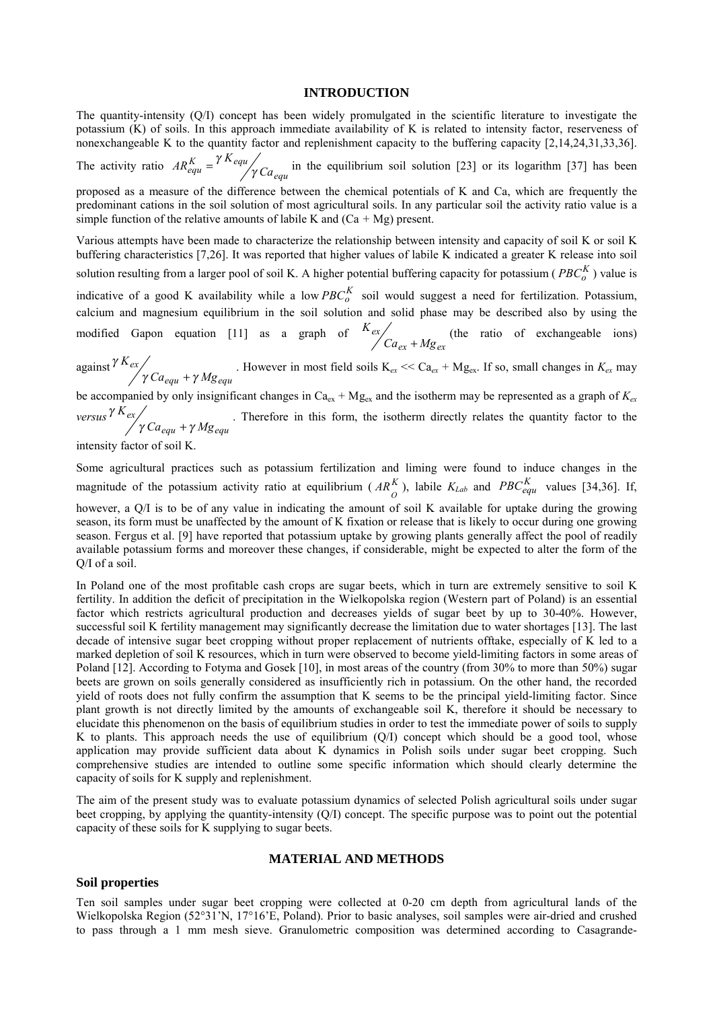### **INTRODUCTION**

The quantity-intensity (Q/I) concept has been widely promulgated in the scientific literature to investigate the potassium (K) of soils. In this approach immediate availability of K is related to intensity factor, reserveness of nonexchangeable K to the quantity factor and replenishment capacity to the buffering capacity [2,14,24,31,33,36].

The activity ratio  $AR_{equ}^{K} = \frac{A_{equ}}{\gamma} C a_{equ}$  $\frac{K}{equ} = \frac{\gamma K}{\gamma Ga}$  $AR_{equ}^{K} = \frac{\gamma K_{equ}}{\gamma}$  $=\frac{\gamma K_{equ}}{g G}$  in the equilibrium soil solution [23] or its logarithm [37] has been proposed as a measure of the difference between the chemical potentials of K and Ca, which are frequently the predominant cations in the soil solution of most agricultural soils. In any particular soil the activity ratio value is a simple function of the relative amounts of labile K and  $(Ca + Mg)$  present.

Various attempts have been made to characterize the relationship between intensity and capacity of soil K or soil K buffering characteristics [7,26]. It was reported that higher values of labile K indicated a greater K release into soil solution resulting from a larger pool of soil K. A higher potential buffering capacity for potassium ( $PBC_0^K$ ) value is indicative of a good K availability while a low  $PBC_0^K$  soil would suggest a need for fertilization. Potassium, calcium and magnesium equilibrium in the soil solution and solid phase may be described also by using the modified Gapon equation [11] as a graph of *ex ex ex*  $Ca_{ex} + Mg$ *K*  $+ Mg_{ex}$  (the ratio of exchangeable ions)

against *equ equ ex*  $Ca_{e\alpha\mu} + \gamma Mg$ *K*  $γ Ca<sub>equ</sub> + γ$ γ . However in most field soils  $K_{ex} \ll Ca_{ex} + Mg_{ex}$ . If so, small changes in  $K_{ex}$  may  $+ \gamma Mg_{eau}$ .

be accompanied by only insignificant changes in  $Ca_{ex} + Mg_{ex}$  and the isotherm may be represented as a graph of  $K_{ex}$ *versus equ equ ex*  $Ca_{e\alpha\mu} + \gamma Mg$ *K*  $γ Ca<sub>equ</sub> + γ$ γ . Therefore in this form, the isotherm directly relates the quantity factor to the  $+\gamma Mg_{eau}$ 

intensity factor of so

Some agricultural practices such as potassium fertilization and liming were found to induce changes in the magnitude of the potassium activity ratio at equilibrium ( $AR_{\rho}^{K}$ ), labile  $K_{Lab}$  and  $PBC_{equ}^{K}$  values [34,36]. If, however, a Q/I is to be of any value in indicating the amount of soil K available for uptake during the growing season, its form must be unaffected by the amount of K fixation or release that is likely to occur during one growing season. Fergus et al. [9] have reported that potassium uptake by growing plants generally affect the pool of readily available potassium forms and moreover these changes, if considerable, might be expected to alter the form of the Q/I of a soil.

In Poland one of the most profitable cash crops are sugar beets, which in turn are extremely sensitive to soil K fertility. In addition the deficit of precipitation in the Wielkopolska region (Western part of Poland) is an essential factor which restricts agricultural production and decreases yields of sugar beet by up to 30-40%. However, successful soil K fertility management may significantly decrease the limitation due to water shortages [13]. The last decade of intensive sugar beet cropping without proper replacement of nutrients offtake, especially of K led to a marked depletion of soil K resources, which in turn were observed to become yield-limiting factors in some areas of Poland [12]. According to Fotyma and Gosek [10], in most areas of the country (from 30% to more than 50%) sugar beets are grown on soils generally considered as insufficiently rich in potassium. On the other hand, the recorded yield of roots does not fully confirm the assumption that K seems to be the principal yield-limiting factor. Since plant growth is not directly limited by the amounts of exchangeable soil K, therefore it should be necessary to elucidate this phenomenon on the basis of equilibrium studies in order to test the immediate power of soils to supply K to plants. This approach needs the use of equilibrium  $(Q/I)$  concept which should be a good tool, whose application may provide sufficient data about K dynamics in Polish soils under sugar beet cropping. Such comprehensive studies are intended to outline some specific information which should clearly determine the capacity of soils for K supply and replenishment.

The aim of the present study was to evaluate potassium dynamics of selected Polish agricultural soils under sugar beet cropping, by applying the quantity-intensity (Q/I) concept. The specific purpose was to point out the potential capacity of these soils for K supplying to sugar beets.

## **MATERIAL AND METHODS**

### **Soil properties**

Ten soil samples under sugar beet cropping were collected at 0-20 cm depth from agricultural lands of the Wielkopolska Region (52°31'N, 17°16'E, Poland). Prior to basic analyses, soil samples were air-dried and crushed to pass through a 1 mm mesh sieve. Granulometric composition was determined according to Casagrande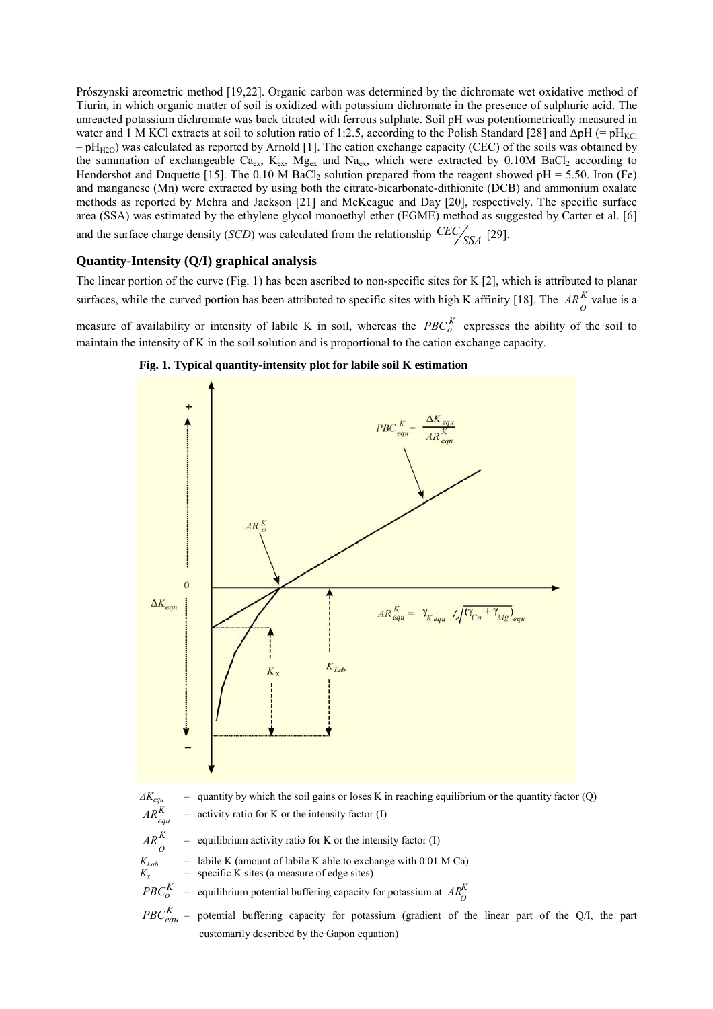Prószynski areometric method [19,22]. Organic carbon was determined by the dichromate wet oxidative method of Tiurin, in which organic matter of soil is oxidized with potassium dichromate in the presence of sulphuric acid. The unreacted potassium dichromate was back titrated with ferrous sulphate. Soil pH was potentiometrically measured in water and 1 M KCl extracts at soil to solution ratio of 1:2.5, according to the Polish Standard [28] and  $\Delta \text{pH}$  (= pH<sub>KCl</sub>)  $-pH_{H2O}$ ) was calculated as reported by Arnold [1]. The cation exchange capacity (CEC) of the soils was obtained by the summation of exchangeable  $Ca_{ex}$ ,  $K_{ex}$ ,  $Mg_{ex}$  and  $Na_{ex}$ , which were extracted by 0.10M BaCl<sub>2</sub> according to Hendershot and Duquette [15]. The 0.10 M BaCl<sub>2</sub> solution prepared from the reagent showed pH = 5.50. Iron (Fe) and manganese (Mn) were extracted by using both the citrate-bicarbonate-dithionite (DCB) and ammonium oxalate methods as reported by Mehra and Jackson [21] and McKeague and Day [20], respectively. The specific surface area (SSA) was estimated by the ethylene glycol monoethyl ether (EGME) method as suggested by Carter et al. [6] and the surface charge density (*SCD*) was calculated from the relationship  $\frac{CEC}{SSA}$  [29].

## **Quantity-Intensity (Q/I) graphical analysis**

The linear portion of the curve (Fig. 1) has been ascribed to non-specific sites for K [2], which is attributed to planar surfaces, while the curved portion has been attributed to specific sites with high K affinity [18]. The  $AR^K_O$  value is a measure of availability or intensity of labile K in soil, whereas the  $PBC_0^K$  expresses the ability of the soil to





maintain the intensity of K in the soil solution and is proportional to the cation exchange capacity.

 $PBC_{equ}^{K}$  – potential buffering capacity for potassium (gradient of the linear part of the Q/I, the part customarily described by the Gapon equation)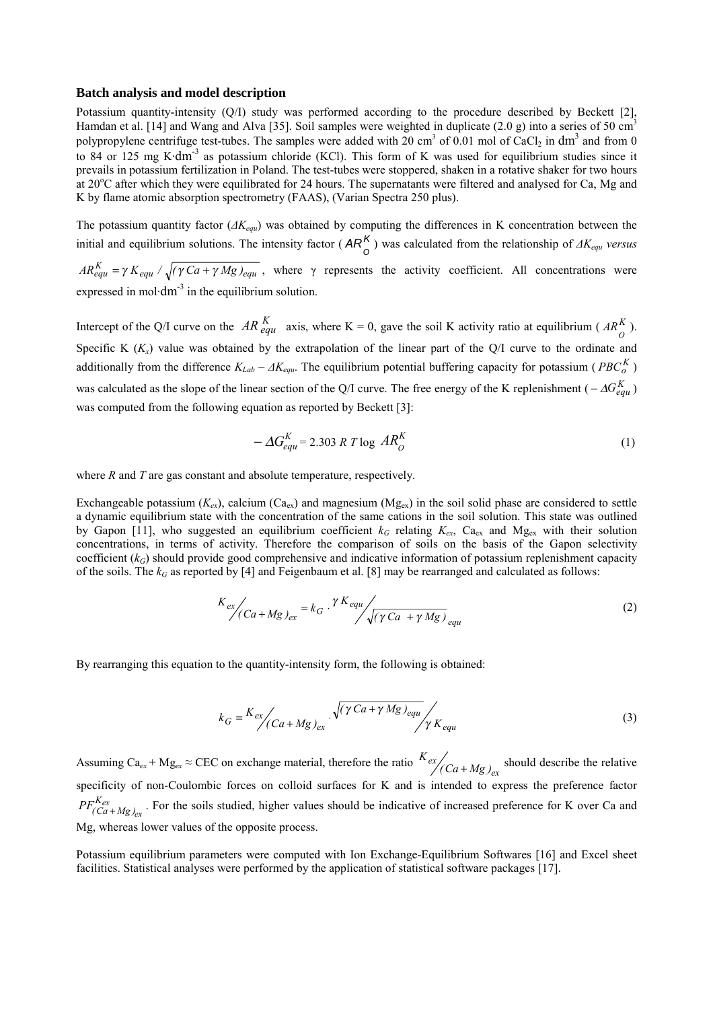#### **Batch analysis and model description**

Potassium quantity-intensity (Q/I) study was performed according to the procedure described by Beckett [2], Hamdan et al. [14] and Wang and Alva [35]. Soil samples were weighted in duplicate (2.0 g) into a series of 50 cm<sup>3</sup> polypropylene centrifuge test-tubes. The samples were added with 20 cm<sup>3</sup> of 0.01 mol of CaCl<sub>2</sub> in dm<sup>3</sup> and from 0 to 84 or 125 mg K·dm<sup>-3</sup> as potassium chloride (KCl). This form of K was used for equilibrium studies since it prevails in potassium fertilization in Poland. The test-tubes were stoppered, shaken in a rotative shaker for two hours at 20°C after which they were equilibrated for 24 hours. The supernatants were filtered and analysed for Ca, Mg and K by flame atomic absorption spectrometry (FAAS), (Varian Spectra 250 plus).

The potassium quantity factor (*∆Kequ*) was obtained by computing the differences in K concentration between the initial and equilibrium solutions. The intensity factor ( $AR_0^K$ ) was calculated from the relationship of  $AK_{equ}$  *versus* 

 $AR_{equ}^{K} = \gamma K_{equ} / \sqrt{(\gamma Ca + \gamma Mg)_{equ}}$ , where  $\gamma$  represents the activity coefficient. All concentrations were expressed in mol $dm^{-3}$  in the equilibrium solution.

Intercept of the Q/I curve on the  $AR_{equ}^{K}$  axis, where K = 0, gave the soil K activity ratio at equilibrium ( $AR_{0}^{K}$ ). Specific K  $(K_x)$  value was obtained by the extrapolation of the linear part of the Q/I curve to the ordinate and additionally from the difference  $K_{Lab} - \Delta K_{equ}$ . The equilibrium potential buffering capacity for potassium ( $PBC_0^K$ ) was calculated as the slope of the linear section of the Q/I curve. The free energy of the K replenishment ( $-\Delta G_{e\alpha\mu}^{K}$ ) was computed from the following equation as reported by Beckett [3]:

$$
-\Delta G_{equ}^{K} = 2.303 \ R \ T \log \ AR_{O}^{K} \tag{1}
$$

where *R* and *T* are gas constant and absolute temperature, respectively.

Exchangeable potassium  $(K_{ex})$ , calcium  $(Ca_{ex})$  and magnesium  $(Mg_{ex})$  in the soil solid phase are considered to settle a dynamic equilibrium state with the concentration of the same cations in the soil solution. This state was outlined by Gapon [11], who suggested an equilibrium coefficient  $k_G$  relating  $K_{ex}$ , Ca<sub>ex</sub> and Mg<sub>ex</sub> with their solution concentrations, in terms of activity. Therefore the comparison of soils on the basis of the Gapon selectivity coefficient  $(k_G)$  should provide good comprehensive and indicative information of potassium replenishment capacity of the soils. The  $k_G$  as reported by [4] and Feigenbaum et al. [8] may be rearranged and calculated as follows:

$$
K_{ex}/(Ca+Mg)_{ex} = k_G \cdot \frac{\gamma K_{equ}}{\sqrt{(\gamma Ca + \gamma Mg)}}_{equ}
$$
 (2)

By rearranging this equation to the quantity-intensity form, the following is obtained:

$$
k_G = \frac{K_{ex}}{(Ca + Mg)_{ex}} \cdot \sqrt{\left(\gamma Ca + \gamma Mg\right)_{equ}} \sqrt{\gamma K_{equ}}
$$
 (3)

Assuming  $Ca_{ex} + Mg_{ex} \approx CEC$  on exchange material, therefore the ratio  $K_{ex} / (Ca + Mg)_{ex}$  should describe the relative specificity of non-Coulombic forces on colloid surfaces for K and is intended to express the preference factor *ex ex*  $PF^{K_{ex}}_{(Ca+Mg)_{ex}}$ . For the soils studied, higher values should be indicative of increased preference for K over Ca and Mg, whereas lower values of the opposite process.

Potassium equilibrium parameters were computed with Ion Exchange-Equilibrium Softwares [16] and Excel sheet facilities. Statistical analyses were performed by the application of statistical software packages [17].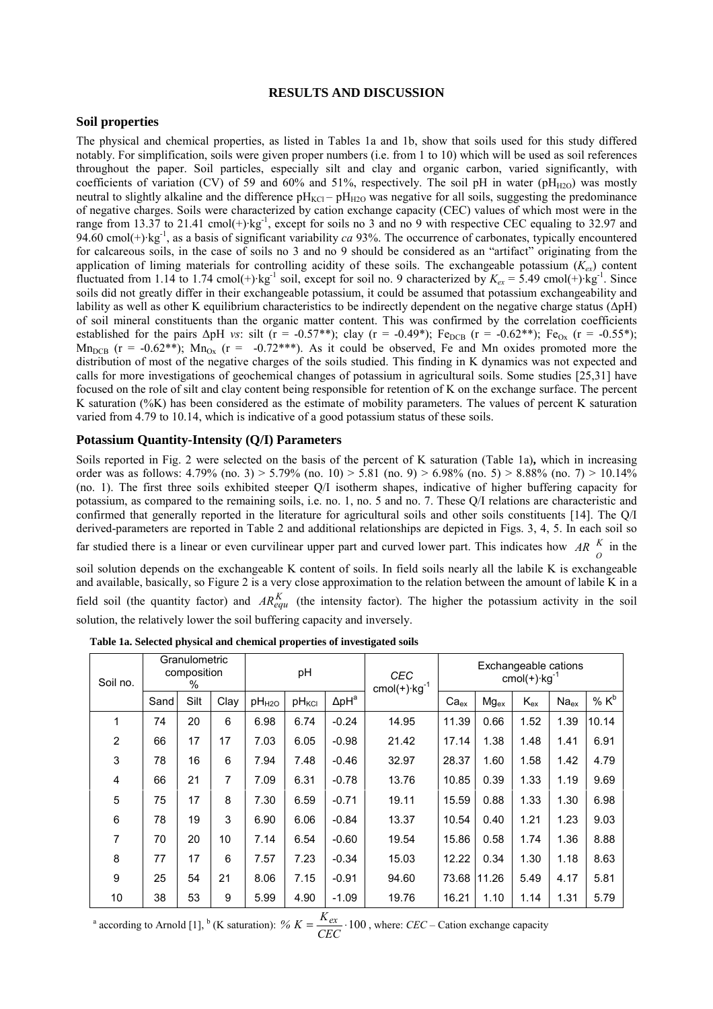## **RESULTS AND DISCUSSION**

## **Soil properties**

The physical and chemical properties, as listed in Tables 1a and 1b, show that soils used for this study differed notably. For simplification, soils were given proper numbers (i.e. from 1 to 10) which will be used as soil references throughout the paper. Soil particles, especially silt and clay and organic carbon, varied significantly, with coefficients of variation (CV) of 59 and 60% and 51%, respectively. The soil pH in water (pH $_{H2O}$ ) was mostly neutral to slightly alkaline and the difference  $pH_{KCl} - pH_{H2O}$  was negative for all soils, suggesting the predominance of negative charges. Soils were characterized by cation exchange capacity (CEC) values of which most were in the range from 13.37 to 21.41 cmol(+)·kg<sup>-1</sup>, except for soils no 3 and no 9 with respective CEC equaling to 32.97 and 94.60 cmol(+)·kg-1, as a basis of significant variability *ca* 93%. The occurrence of carbonates, typically encountered for calcareous soils, in the case of soils no 3 and no 9 should be considered as an "artifact" originating from the application of liming materials for controlling acidity of these soils. The exchangeable potassium  $(K_{ex})$  content fluctuated from 1.14 to 1.74 cmol(+)·kg<sup>-1</sup> soil, except for soil no. 9 characterized by  $K_{ex} = 5.49$  cmol(+)·kg<sup>-1</sup>. Since soils did not greatly differ in their exchangeable potassium, it could be assumed that potassium exchangeability and lability as well as other K equilibrium characteristics to be indirectly dependent on the negative charge status (∆pH) of soil mineral constituents than the organic matter content. This was confirmed by the correlation coefficients established for the pairs  $\Delta pH$  *vs*: silt (r = -0.57<sup>\*\*</sup>); clay (r = -0.49<sup>\*</sup>); Fe<sub>DCB</sub> (r = -0.62<sup>\*\*</sup>); Fe<sub>Ox</sub> (r = -0.55<sup>\*</sup>);  $Mn_{DCB}$  (r = -0.62\*\*);  $Mn_{Ox}$  (r = -0.72\*\*\*). As it could be observed, Fe and Mn oxides promoted more the distribution of most of the negative charges of the soils studied. This finding in K dynamics was not expected and calls for more investigations of geochemical changes of potassium in agricultural soils. Some studies [25,31] have focused on the role of silt and clay content being responsible for retention of K on the exchange surface. The percent K saturation (%K) has been considered as the estimate of mobility parameters. The values of percent K saturation varied from 4.79 to 10.14, which is indicative of a good potassium status of these soils.

## **Potassium Quantity-Intensity (Q/I) Parameters**

Soils reported in Fig. 2 were selected on the basis of the percent of K saturation (Table 1a)**,** which in increasing order was as follows:  $4.79\%$  (no. 3)  $> 5.79\%$  (no. 10)  $> 5.81$  (no. 9)  $> 6.98\%$  (no. 5)  $> 8.88\%$  (no. 7)  $> 10.14\%$ (no. 1). The first three soils exhibited steeper Q/I isotherm shapes, indicative of higher buffering capacity for potassium, as compared to the remaining soils, i.e. no. 1, no. 5 and no. 7. These Q/I relations are characteristic and confirmed that generally reported in the literature for agricultural soils and other soils constituents [14]. The Q/I derived-parameters are reported in Table 2 and additional relationships are depicted in Figs. 3, 4, 5. In each soil so far studied there is a linear or even curvilinear upper part and curved lower part. This indicates how *AR*  $\frac{K}{O}$  in the soil solution depends on the exchangeable K content of soils. In field soils nearly all the labile K is exchangeable and available, basically, so Figure 2 is a very close approximation to the relation between the amount of labile K in a field soil (the quantity factor) and  $AR_{equ}^{K}$  (the intensity factor). The higher the potassium activity in the soil solution, the relatively lower the soil buffering capacity and inversely.

| Soil no.       | Granulometric<br>composition<br>% |      | pH   |                   |                   | <b>CEC</b><br>$cmol(+)$ · $kg^{-1}$ | Exchangeable cations<br>cmol $(+)$ ·kg <sup>-1</sup> |           |                  |          |           |         |
|----------------|-----------------------------------|------|------|-------------------|-------------------|-------------------------------------|------------------------------------------------------|-----------|------------------|----------|-----------|---------|
|                | Sand                              | Silt | Clay | pH <sub>H2O</sub> | pH <sub>KCI</sub> | $\Delta$ pH $^{\rm a}$              |                                                      | $Ca_{ex}$ | Mg <sub>ex</sub> | $K_{ex}$ | $Na_{ex}$ | % $K^b$ |
| 1              | 74                                | 20   | 6    | 6.98              | 6.74              | $-0.24$                             | 14.95                                                | 11.39     | 0.66             | 1.52     | 1.39      | 10.14   |
| $\overline{2}$ | 66                                | 17   | 17   | 7.03              | 6.05              | $-0.98$                             | 21.42                                                | 17.14     | 1.38             | 1.48     | 1.41      | 6.91    |
| 3              | 78                                | 16   | 6    | 7.94              | 7.48              | $-0.46$                             | 32.97                                                | 28.37     | 1.60             | 1.58     | 1.42      | 4.79    |
| 4              | 66                                | 21   | 7    | 7.09              | 6.31              | $-0.78$                             | 13.76                                                | 10.85     | 0.39             | 1.33     | 1.19      | 9.69    |
| 5              | 75                                | 17   | 8    | 7.30              | 6.59              | $-0.71$                             | 19.11                                                | 15.59     | 0.88             | 1.33     | 1.30      | 6.98    |
| 6              | 78                                | 19   | 3    | 6.90              | 6.06              | $-0.84$                             | 13.37                                                | 10.54     | 0.40             | 1.21     | 1.23      | 9.03    |
| 7              | 70                                | 20   | 10   | 7.14              | 6.54              | $-0.60$                             | 19.54                                                | 15.86     | 0.58             | 1.74     | 1.36      | 8.88    |
| 8              | 77                                | 17   | 6    | 7.57              | 7.23              | $-0.34$                             | 15.03                                                | 12.22     | 0.34             | 1.30     | 1.18      | 8.63    |
| 9              | 25                                | 54   | 21   | 8.06              | 7.15              | $-0.91$                             | 94.60                                                | 73.68     | 11.26            | 5.49     | 4.17      | 5.81    |
| 10             | 38                                | 53   | 9    | 5.99              | 4.90              | $-1.09$                             | 19.76                                                | 16.21     | 1.10             | 1.14     | 1.31      | 5.79    |

 **Table 1a. Selected physical and chemical properties of investigated soils**

<sup>a</sup> according to Arnold [1], <sup>b</sup> (K saturation): %  $K = \frac{K_{ex}}{CEC} \cdot 100$ %  $K = \frac{K_{ex}}{g} \cdot 100$ , where: *CEC* – Cation exchange capacity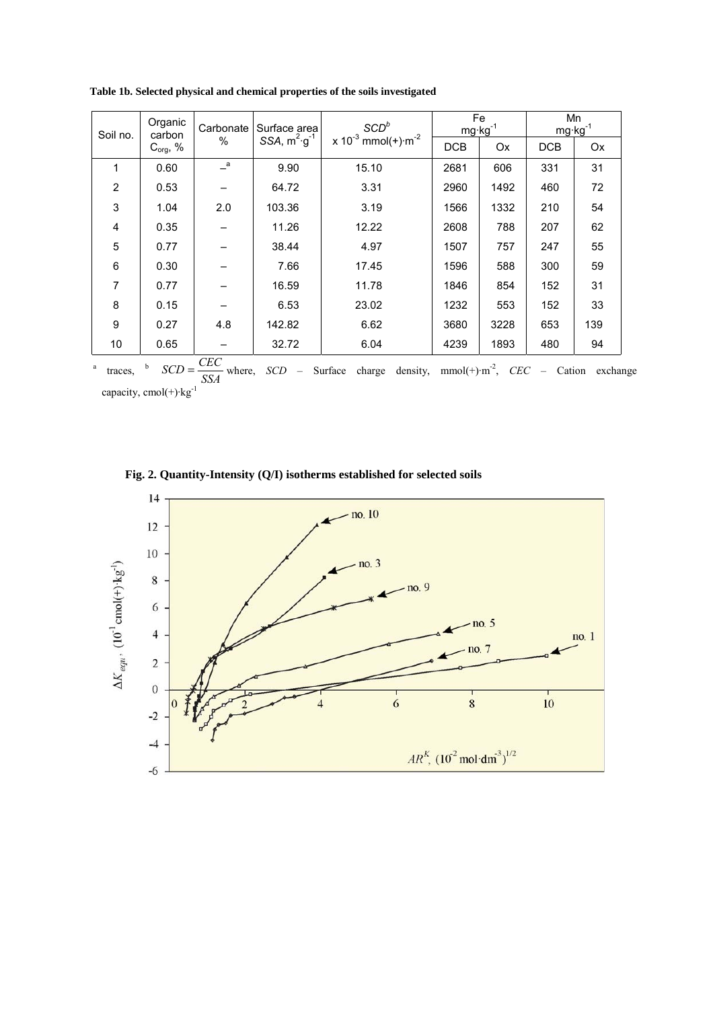| Soil no.       | Organic<br>carbon | Carbonate         | Surface area            | SCD <sup>b</sup>                                   | $mg \cdot kg^{-1}$ | Fe   | Mn<br>$mg \cdot kg^{-1}$ |     |
|----------------|-------------------|-------------------|-------------------------|----------------------------------------------------|--------------------|------|--------------------------|-----|
|                | $C_{org}$ , %     | $\%$              | SSA, $m^2 \cdot g^{-1}$ | x 10 <sup>-3</sup> mmol(+) $\cdot$ m <sup>-2</sup> | <b>DCB</b>         | Ox   | <b>DCB</b>               | Ox  |
| 1              | 0.60              | $\alpha$          | 9.90                    | 15.10                                              | 2681               | 606  | 331                      | 31  |
| 2              | 0.53              |                   | 64.72                   | 3.31                                               | 2960               | 1492 | 460                      | 72  |
| 3              | 1.04              | 2.0               | 103.36                  | 3.19                                               | 1566               | 1332 | 210                      | 54  |
| 4              | 0.35              |                   | 11.26                   | 12.22                                              | 2608               | 788  | 207                      | 62  |
| 5              | 0.77              |                   | 38.44                   | 4.97                                               | 1507               | 757  | 247                      | 55  |
| 6              | 0.30              |                   | 7.66                    | 17.45                                              | 1596               | 588  | 300                      | 59  |
| $\overline{7}$ | 0.77              |                   | 16.59                   | 11.78                                              | 1846               | 854  | 152                      | 31  |
| 8              | 0.15              |                   | 6.53                    | 23.02                                              | 1232               | 553  | 152                      | 33  |
| 9              | 0.27              | 4.8               | 142.82                  | 6.62                                               | 3680               | 3228 | 653                      | 139 |
| 10             | 0.65              | $\alpha$ $\alpha$ | 32.72                   | 6.04                                               | 4239               | 1893 | 480                      | 94  |

 **Table 1b. Selected physical and chemical properties of the soils investigated**

a traces, <sup>b</sup>  $SCD = \frac{CEC}{SSA}$  where, *SCD* – Surface charge density, mmol(+)·m<sup>-2</sup>, *CEC* – Cation exchange capacity,  $cmol(+)$ ·kg<sup>-1</sup>

 **Fig. 2. Quantity-Intensity (Q/I) isotherms established for selected soils**

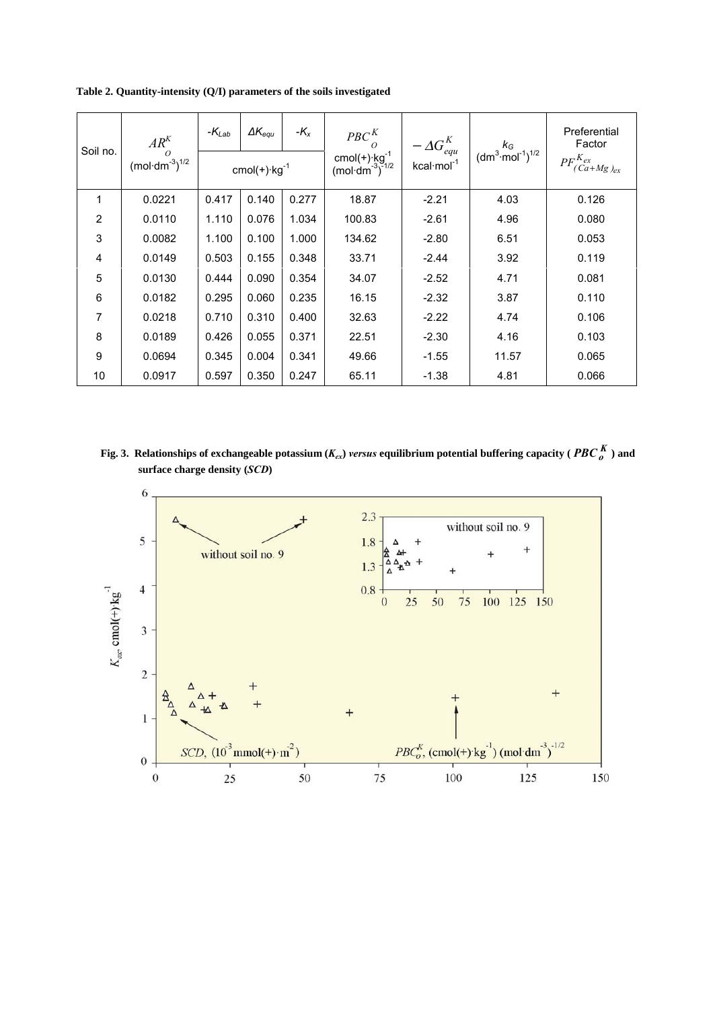**Table 2. Quantity-intensity (Q/I) parameters of the soils investigated**

| Soil no.       | $AR^{K}$<br>$\Omega$<br>$(mol·dm-3)1/2$ | $-K_{Lab}$                   | $\Delta K_{e\alpha\mu}$ | $-K_x$ | $PBC_{O}^{K}$                                                               |                                              | $k_G$<br>(dm <sup>3</sup> ·mol <sup>-1</sup> ) <sup>1/2</sup> | Preferential<br>Factor       |
|----------------|-----------------------------------------|------------------------------|-------------------------|--------|-----------------------------------------------------------------------------|----------------------------------------------|---------------------------------------------------------------|------------------------------|
|                |                                         | cmol $(+)$ ·kg <sup>-1</sup> |                         |        | cmol(+) $\cdot$ kg <sup>-1</sup><br>(mol·dm <sup>-3</sup> ) <sup>-1/2</sup> | $-\Delta G_{equ}^{K}$ kcal·mol <sup>-1</sup> |                                                               | $PF^{K_{ex}}_{(Ca+Mg)_{ex}}$ |
| $\mathbf 1$    | 0.0221                                  | 0.417                        | 0.140                   | 0.277  | 18.87                                                                       | $-2.21$                                      | 4.03                                                          | 0.126                        |
| $\overline{2}$ | 0.0110                                  | 1.110                        | 0.076                   | 1.034  | 100.83                                                                      | $-2.61$                                      | 4.96                                                          | 0.080                        |
| 3              | 0.0082                                  | 1.100                        | 0.100                   | 1.000  | 134.62                                                                      | $-2.80$                                      | 6.51                                                          | 0.053                        |
| 4              | 0.0149                                  | 0.503                        | 0.155                   | 0.348  | 33.71                                                                       | $-2.44$                                      | 3.92                                                          | 0.119                        |
| 5              | 0.0130                                  | 0.444                        | 0.090                   | 0.354  | 34.07                                                                       | $-2.52$                                      | 4.71                                                          | 0.081                        |
| 6              | 0.0182                                  | 0.295                        | 0.060                   | 0.235  | 16.15                                                                       | $-2.32$                                      | 3.87                                                          | 0.110                        |
| 7              | 0.0218                                  | 0.710                        | 0.310                   | 0.400  | 32.63                                                                       | $-2.22$                                      | 4.74                                                          | 0.106                        |
| 8              | 0.0189                                  | 0.426                        | 0.055                   | 0.371  | 22.51                                                                       | $-2.30$                                      | 4.16                                                          | 0.103                        |
| 9              | 0.0694                                  | 0.345                        | 0.004                   | 0.341  | 49.66                                                                       | $-1.55$                                      | 11.57                                                         | 0.065                        |
| 10             | 0.0917                                  | 0.597                        | 0.350                   | 0.247  | 65.11                                                                       | $-1.38$                                      | 4.81                                                          | 0.066                        |

 **Fig. 3.** Relationships of exchangeable potassium  $(K_{ex})$  *versus* equilibrium potential buffering capacity (  $PBC_0^K$  ) and  **surface charge density (***SCD***)**

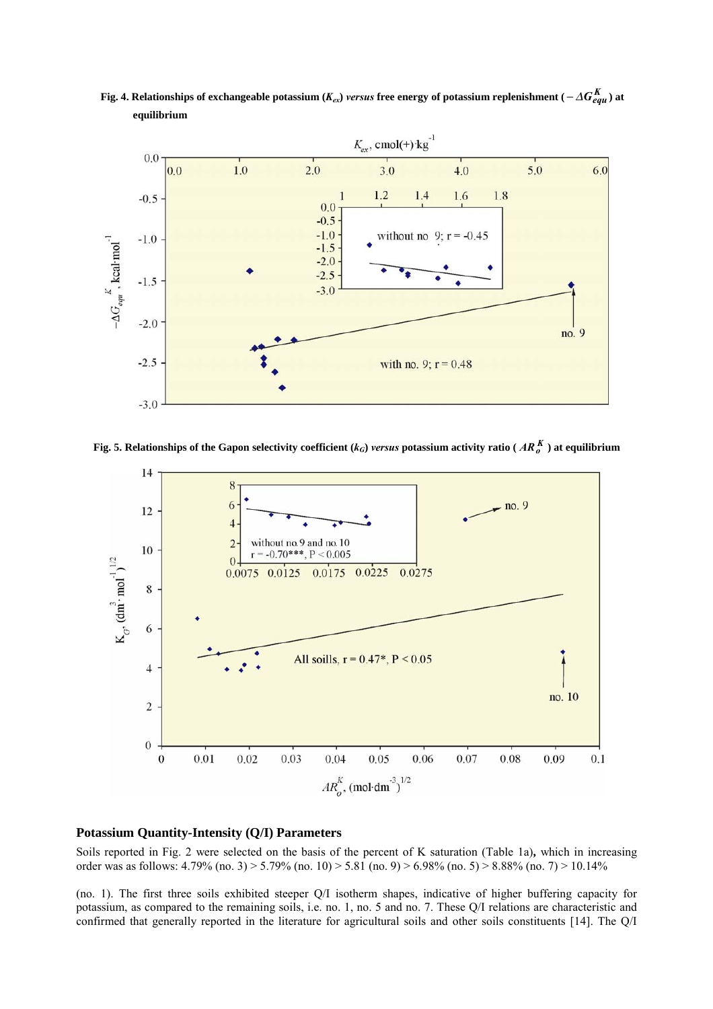**Fig. 4. Relationships of exchangeable potassium (** $K_{ex}$ **)** *versus* **free energy of potassium replenishment (** $-\Delta G_{eau}^K$ **) at equilibrium**



**Fig. 5. Relationships of the Gapon selectivity coefficient** ( $k_G$ ) *versus* potassium activity ratio ( $AR_o^K$ ) at equilibrium



## **Potassium Quantity-Intensity (Q/I) Parameters**

Soils reported in Fig. 2 were selected on the basis of the percent of K saturation (Table 1a)**,** which in increasing order was as follows: 4.79% (no. 3) > 5.79% (no. 10) > 5.81 (no. 9) > 6.98% (no. 5) > 8.88% (no. 7) > 10.14%

(no. 1). The first three soils exhibited steeper Q/I isotherm shapes, indicative of higher buffering capacity for potassium, as compared to the remaining soils, i.e. no. 1, no. 5 and no. 7. These Q/I relations are characteristic and confirmed that generally reported in the literature for agricultural soils and other soils constituents [14]. The Q/I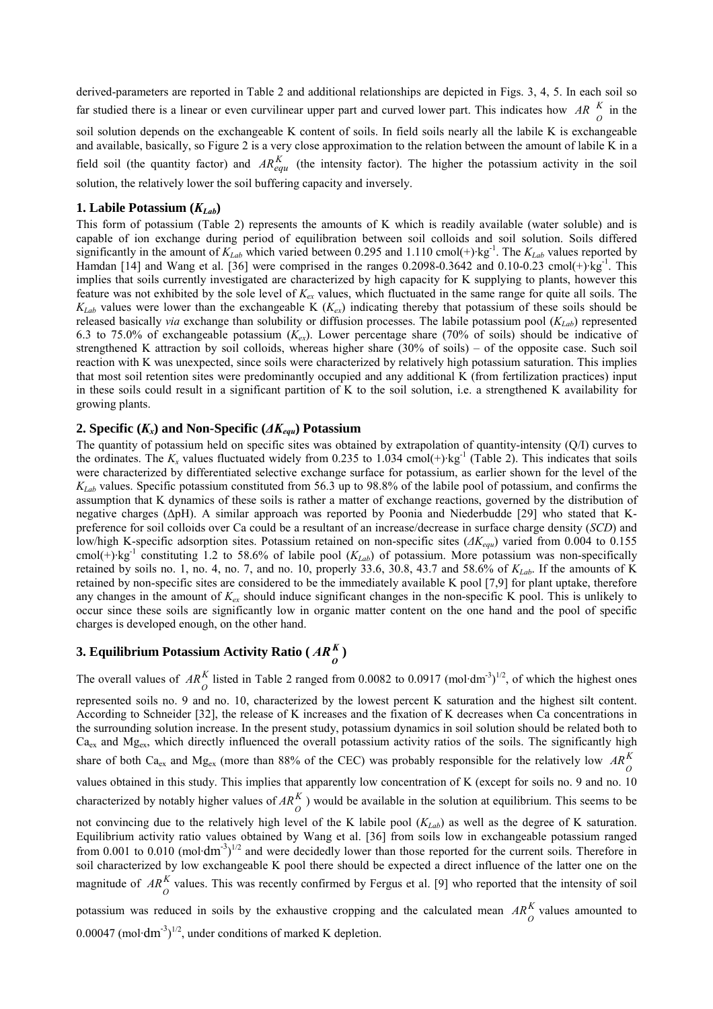derived-parameters are reported in Table 2 and additional relationships are depicted in Figs. 3, 4, 5. In each soil so far studied there is a linear or even curvilinear upper part and curved lower part. This indicates how *AR*  $\frac{K}{O}$  in the soil solution depends on the exchangeable K content of soils. In field soils nearly all the labile K is exchangeable and available, basically, so Figure 2 is a very close approximation to the relation between the amount of labile K in a field soil (the quantity factor) and  $AR_{equ}^{K}$  (the intensity factor). The higher the potassium activity in the soil solution, the relatively lower the soil buffering capacity and inversely.

## **1. Labile Potassium**  $(K_{Lab})$

This form of potassium (Table 2) represents the amounts of K which is readily available (water soluble) and is capable of ion exchange during period of equilibration between soil colloids and soil solution. Soils differed significantly in the amount of  $K_{Lab}$  which varied between 0.295 and 1.110 cmol(+)·kg<sup>-1</sup>. The  $K_{Lab}$  values reported by Hamdan [14] and Wang et al. [36] were comprised in the ranges 0.2098-0.3642 and 0.10-0.23 cmol(+)·kg<sup>-1</sup>. This implies that soils currently investigated are characterized by high capacity for K supplying to plants, however this feature was not exhibited by the sole level of *Kex* values, which fluctuated in the same range for quite all soils. The  $K_{Lab}$  values were lower than the exchangeable K ( $K_{ex}$ ) indicating thereby that potassium of these soils should be released basically *via* exchange than solubility or diffusion processes. The labile potassium pool  $(K_{Lab})$  represented 6.3 to 75.0% of exchangeable potassium (*Kex*). Lower percentage share (70% of soils) should be indicative of strengthened K attraction by soil colloids, whereas higher share (30% of soils) – of the opposite case. Such soil reaction with K was unexpected, since soils were characterized by relatively high potassium saturation. This implies that most soil retention sites were predominantly occupied and any additional K (from fertilization practices) input in these soils could result in a significant partition of K to the soil solution, i.e. a strengthened K availability for growing plants.

## **2. Specific** ( $K_x$ ) and Non-Specific ( $\Delta K_{\text{e}q}$ ) Potassium

The quantity of potassium held on specific sites was obtained by extrapolation of quantity-intensity (Q/I) curves to the ordinates. The  $K_x$  values fluctuated widely from 0.235 to 1.034 cmol(+)·kg<sup>-1</sup> (Table 2). This indicates that soils were characterized by differentiated selective exchange surface for potassium, as earlier shown for the level of the *K<sub>Lab</sub>* values. Specific potassium constituted from 56.3 up to 98.8% of the labile pool of potassium, and confirms the assumption that K dynamics of these soils is rather a matter of exchange reactions, governed by the distribution of negative charges (∆pH). A similar approach was reported by Poonia and Niederbudde [29] who stated that Kpreference for soil colloids over Ca could be a resultant of an increase/decrease in surface charge density (*SCD*) and low/high K-specific adsorption sites. Potassium retained on non-specific sites (*∆Kequ*) varied from 0.004 to 0.155 cmol(+)·kg<sup>-1</sup> constituting 1.2 to 58.6% of labile pool ( $K_{Lab}$ ) of potassium. More potassium was non-specifically retained by soils no. 1, no. 4, no. 7, and no. 10, properly 33.6, 30.8, 43.7 and 58.6% of  $K_{Lab}$ . If the amounts of K retained by non-specific sites are considered to be the immediately available K pool [7,9] for plant uptake, therefore any changes in the amount of  $K_{ex}$  should induce significant changes in the non-specific K pool. This is unlikely to occur since these soils are significantly low in organic matter content on the one hand and the pool of specific charges is developed enough, on the other hand.

# **3. Equilibrium Potassium Activity Ratio** ( $AR_{\theta}^{K}$ )

The overall values of  $AR_{\odot}^{K}$  listed in Table 2 ranged from 0.0082 to 0.0917 (mol·dm<sup>-3</sup>)<sup>1/2</sup>, of which the highest ones represented soils no. 9 and no. 10, characterized by the lowest percent K saturation and the highest silt content. According to Schneider [32], the release of K increases and the fixation of K decreases when Ca concentrations in the surrounding solution increase. In the present study, potassium dynamics in soil solution should be related both to  $Ca<sub>ex</sub>$  and  $Mg<sub>ex</sub>$ , which directly influenced the overall potassium activity ratios of the soils. The significantly high share of both Ca<sub>ex</sub> and Mg<sub>ex</sub> (more than 88% of the CEC) was probably responsible for the relatively low  $AR_0^K$ values obtained in this study. This implies that apparently low concentration of K (except for soils no. 9 and no. 10 characterized by notably higher values of  $AR_{\hat{O}}^{K}$ ) would be available in the solution at equilibrium. This seems to be not convincing due to the relatively high level of the K labile pool  $(K_{Lab})$  as well as the degree of K saturation. Equilibrium activity ratio values obtained by Wang et al. [36] from soils low in exchangeable potassium ranged from 0.001 to 0.010 (mol·dm<sup>-3</sup>)<sup>1/2</sup> and were decidedly lower than those reported for the current soils. Therefore in soil characterized by low exchangeable K pool there should be expected a direct influence of the latter one on the magnitude of  $AR_0^K$  values. This was recently confirmed by Fergus et al. [9] who reported that the intensity of soil

potassium was reduced in soils by the exhaustive cropping and the calculated mean  $AR_0^K$  values amounted to 0.00047 (mol· $dm^{-3}$ )<sup>1/2</sup>, under conditions of marked K depletion.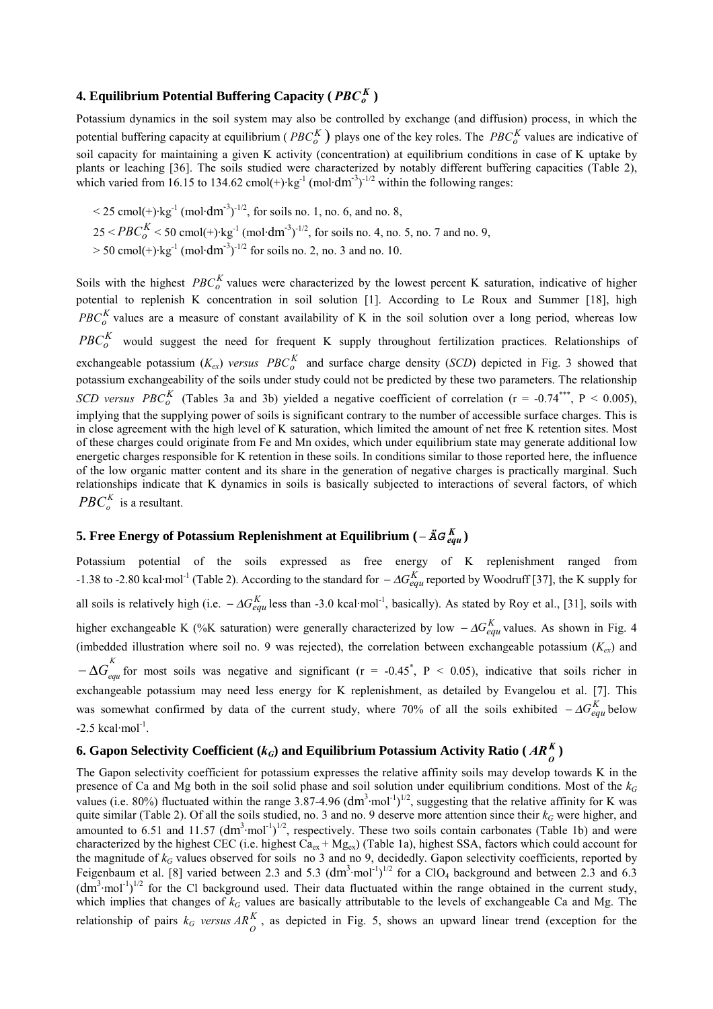## **4. Equilibrium Potential Buffering Capacity (** $PBC_{a}^{K}$ **)**

Potassium dynamics in the soil system may also be controlled by exchange (and diffusion) process, in which the potential buffering capacity at equilibrium ( $PBC_0^K$ ) plays one of the key roles. The  $PBC_0^K$  values are indicative of soil capacity for maintaining a given K activity (concentration) at equilibrium conditions in case of K uptake by plants or leaching [36]. The soils studied were characterized by notably different buffering capacities (Table 2), which varied from 16.15 to 134.62 cmol(+)·kg<sup>-1</sup> (mol·dm<sup>-3</sup>)<sup>-1/2</sup> within the following ranges:

 $\leq$  25 cmol(+)·kg<sup>-1</sup> (mol·dm<sup>-3</sup>)<sup>-1/2</sup>, for soils no. 1, no. 6, and no. 8,  $25 < PBC_0^K < 50$  cmol(+)·kg<sup>-1</sup> (mol·dm<sup>-3</sup>)<sup>-1/2</sup>, for soils no. 4, no. 5, no. 7 and no. 9,  $> 50$  cmol(+)·kg<sup>-1</sup> (mol·dm<sup>-3</sup>)<sup>-1/2</sup> for soils no. 2, no. 3 and no. 10.

Soils with the highest *PBC*<sup>K</sup> values were characterized by the lowest percent K saturation, indicative of higher potential to replenish K concentration in soil solution [1]. According to Le Roux and Summer [18], high  $PBC_0<sup>K</sup>$  values are a measure of constant availability of K in the soil solution over a long period, whereas low *PBC*<sub>o</sub> would suggest the need for frequent K supply throughout fertilization practices. Relationships of exchangeable potassium  $(K_{ex})$  *versus*  $PBC_0^K$  and surface charge density (*SCD*) depicted in Fig. 3 showed that potassium exchangeability of the soils under study could not be predicted by these two parameters. The relationship *SCD versus*  $PBC_0^K$  (Tables 3a and 3b) yielded a negative coefficient of correlation (r = -0.74\*\*\*, P < 0.005), implying that the supplying power of soils is significant contrary to the number of accessible surface charges. This is in close agreement with the high level of K saturation, which limited the amount of net free K retention sites. Most of these charges could originate from Fe and Mn oxides, which under equilibrium state may generate additional low energetic charges responsible for K retention in these soils. In conditions similar to those reported here, the influence of the low organic matter content and its share in the generation of negative charges is practically marginal. Such relationships indicate that K dynamics in soils is basically subjected to interactions of several factors, of which  $PBC_{\alpha}^{K}$  is a resultant.

## **5.** Free Energy of Potassium Replenishment at Equilibrium ( $-\ddot{A}G_{eau}^{K}$ )

Potassium potential of the soils expressed as free energy of K replenishment ranged from -1.38 to -2.80 kcal·mol<sup>-1</sup> (Table 2). According to the standard for  $-\Delta G_{equ}^{K}$  reported by Woodruff [37], the K supply for all soils is relatively high (i.e.  $-\Delta G_{equ}^{K}$  less than -3.0 kcal·mol<sup>-1</sup>, basically). As stated by Roy et al., [31], soils with higher exchangeable K (%K saturation) were generally characterized by low  $-\Delta G_{equ}^{K}$  values. As shown in Fig. 4 (imbedded illustration where soil no. 9 was rejected), the correlation between exchangeable potassium  $(K_{ex})$  and  $-\Delta G_{equ}^{K}$  for most soils was negative and significant (r = -0.45<sup>\*</sup>, P < 0.05), indicative that soils richer in exchangeable potassium may need less energy for K replenishment, as detailed by Evangelou et al. [7]. This was somewhat confirmed by data of the current study, where 70% of all the soils exhibited  $-\Delta G_{e\alpha\mu}^{K}$  below  $-2.5$  kcal·mol<sup>-1</sup>.

# **6.** Gapon Selectivity Coefficient ( $k_G$ ) and Equilibrium Potassium Activity Ratio ( $AR_{\theta}^{K}$ )

The Gapon selectivity coefficient for potassium expresses the relative affinity soils may develop towards K in the presence of Ca and Mg both in the soil solid phase and soil solution under equilibrium conditions. Most of the  $k_G$ values (i.e. 80%) fluctuated within the range  $3.87-4.96$  (dm<sup>3</sup>·mol<sup>-1</sup>)<sup>1/2</sup>, suggesting that the relative affinity for K was quite similar (Table 2). Of all the soils studied, no. 3 and no. 9 deserve more attention since their  $k_G$  were higher, and amounted to 6.51 and 11.57  $(dm^3 \cdot mol^{-1})^{1/2}$ , respectively. These two soils contain carbonates (Table 1b) and were characterized by the highest CEC (i.e. highest  $Ca_{ex} + Mg_{ex}$ ) (Table 1a), highest SSA, factors which could account for the magnitude of  $k_G$  values observed for soils no 3 and no 9, decidedly. Gapon selectivity coefficients, reported by Feigenbaum et al. [8] varied between 2.3 and 5.3  $(dm^3 \cdot mol^{-1})^{1/2}$  for a ClO<sub>4</sub> background and between 2.3 and 6.3  $(dm<sup>3</sup>·mol<sup>-1</sup>)<sup>1/2</sup>$  for the Cl background used. Their data fluctuated within the range obtained in the current study, which implies that changes of  $k_G$  values are basically attributable to the levels of exchangeable Ca and Mg. The relationship of pairs  $k_G$  versus  $AR_A^K$  $AR_{O}^{R}$ , as depicted in Fig. 5, shows an upward linear trend (exception for the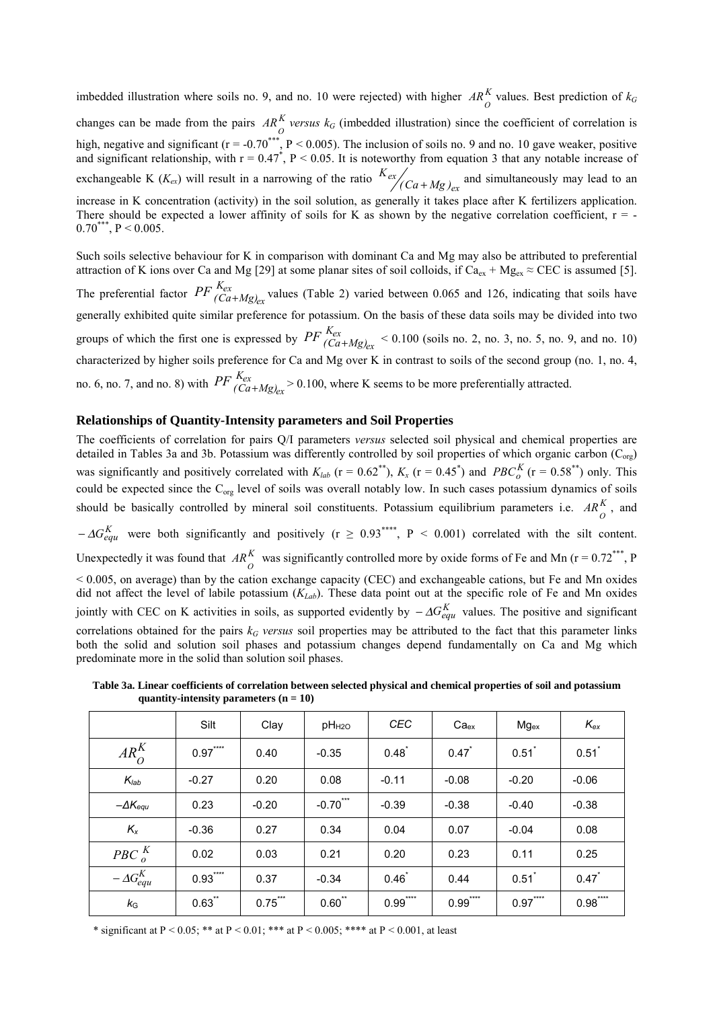imbedded illustration where soils no. 9, and no. 10 were rejected) with higher  $AR^K_O$  values. Best prediction of  $k_G$ changes can be made from the pairs  $AR_0^K$  versus  $k_G$  (imbedded illustration) since the coefficient of correlation is high, negative and significant ( $r = -0.70^{***}$ ,  $P < 0.005$ ). The inclusion of soils no. 9 and no. 10 gave weaker, positive and significant relationship, with  $r = 0.47^*$ ,  $P < 0.05$ . It is noteworthy from equation 3 that any notable increase of exchangeable K ( $K_{ex}$ ) will result in a narrowing of the ratio  $K_{ex}$  /( $Ca + Mg$ )<sub>ex</sub> and simultaneously may lead to an increase in K concentration (activity) in the soil solution, as generally it takes place after K fertilizers application. There should be expected a lower affinity of soils for K as shown by the negative correlation coefficient,  $r = 0.70^{***}, P \le 0.005.$ 

Such soils selective behaviour for K in comparison with dominant Ca and Mg may also be attributed to preferential attraction of K ions over Ca and Mg [29] at some planar sites of soil colloids, if  $Ca_{ex} + Mg_{ex} \approx CEC$  is assumed [5]. The preferential factor  $PF \frac{K_{ex}}{(Ca+Mg)_{ex}}$  $PF$ <sup> $K_{ex}$ </sup> $(Ca+Mg)_{ex}$  values (Table 2) varied between 0.065 and 126, indicating that soils have generally exhibited quite similar preference for potassium. On the basis of these data soils may be divided into two groups of which the first one is expressed by  $PF \frac{\kappa_{ex}}{(Ca+Mg)_{ex}}$  $PF \frac{K_{ex}}{(Ca+Mg)_{ex}}$  < 0.100 (soils no. 2, no. 3, no. 5, no. 9, and no. 10) characterized by higher soils preference for Ca and Mg over K in contrast to soils of the second group (no. 1, no. 4, no. 6, no. 7, and no. 8) with  $PF \frac{K_{ex}}{(Ca+Mg)_{ex}}$  $PF \frac{K_{ex}}{(Ca+Mg)_{ex}} > 0.100$ , where K seems to be more preferentially attracted.

## **Relationships of Quantity-Intensity parameters and Soil Properties**

The coefficients of correlation for pairs Q/I parameters *versus* selected soil physical and chemical properties are detailed in Tables 3a and 3b. Potassium was differently controlled by soil properties of which organic carbon ( $C_{\text{org}}$ ) was significantly and positively correlated with  $K_{lab}$  (r = 0.62<sup>\*\*</sup>),  $K_x$  (r = 0.45<sup>\*</sup>) and  $PBC_0^K$  (r = 0.58<sup>\*\*</sup>) only. This could be expected since the  $C_{org}$  level of soils was overall notably low. In such cases potassium dynamics of soils should be basically controlled by mineral soil constituents. Potassium equilibrium parameters i.e.  $AR_0^K$ , and  $-\Delta G_{equ}^{K}$  were both significantly and positively (r  $\geq 0.93^{***}$ , P < 0.001) correlated with the silt content. Unexpectedly it was found that  $AR_{O}^{K}$  was significantly controlled more by oxide forms of Fe and Mn ( $r = 0.72***$ , P < 0.005, on average) than by the cation exchange capacity (CEC) and exchangeable cations, but Fe and Mn oxides did not affect the level of labile potassium (*KLab*). These data point out at the specific role of Fe and Mn oxides jointly with CEC on K activities in soils, as supported evidently by  $-\Delta G_{equ}^{K}$  values. The positive and significant correlations obtained for the pairs  $k_G$  *versus* soil properties may be attributed to the fact that this parameter links both the solid and solution soil phases and potassium changes depend fundamentally on Ca and Mg which predominate more in the solid than solution soil phases.

 **Table 3a. Linear coefficients of correlation between selected physical and chemical properties of soil and potassium quantity-intensity parameters (n = 10)**

|                       | Silt          | Clay                      | pH <sub>H2O</sub> | <b>CEC</b>    | Ca <sub>ex</sub>    | $Mg_{ex}$      | $K_{ex}$            |
|-----------------------|---------------|---------------------------|-------------------|---------------|---------------------|----------------|---------------------|
| $AR_O^K$              | $***$<br>0.97 | 0.40                      | $-0.35$           | $0.48^{*}$    | $0.47$ <sup>*</sup> | 0.51           | 0.51                |
| $K_{lab}$             | $-0.27$       | 0.20                      | 0.08              | $-0.11$       | $-0.08$             | $-0.20$        | $-0.06$             |
| $-\Delta K_{equ}$     | 0.23          | $-0.20$                   | $***$<br>$-0.70$  | $-0.39$       | $-0.38$             | $-0.40$        | $-0.38$             |
| $K_{x}$               | $-0.36$       | 0.27                      | 0.34              | 0.04          | 0.07                | $-0.04$        | 0.08                |
| $PBC_{o}^{K}$         | 0.02          | 0.03                      | 0.21              | 0.20          | 0.23                | 0.11           | 0.25                |
| $-\Delta G_{equ}^{K}$ | $***$<br>0.93 | 0.37                      | $-0.34$           | 0.46          | 0.44                | 0.51           | $0.47$ <sup>*</sup> |
| $k_{\rm G}$           | $0.63$ **     | $***$<br>$0.75^{\degree}$ | $***$<br>0.60     | $***$<br>0.99 | ****<br>0.99        | $****$<br>0.97 | $***$<br>0.98       |

\* significant at P < 0.05; \*\* at P < 0.01; \*\*\* at P < 0.005; \*\*\*\* at P < 0.001, at least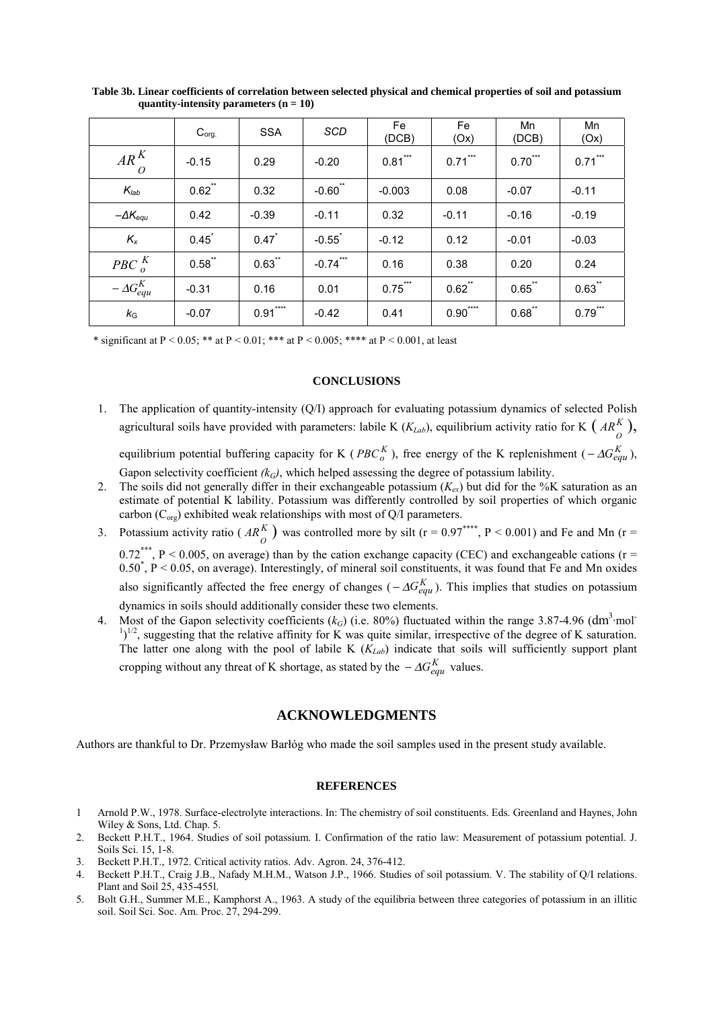|                          | $C_{org.}$       | <b>SSA</b>          | <b>SCD</b>           | Fe<br>(DCB)               | <b>Fe</b><br>(Ox) | Mn<br>(DCB)   | Mn<br>(Ox) |
|--------------------------|------------------|---------------------|----------------------|---------------------------|-------------------|---------------|------------|
| $AR^K$<br>$\overline{O}$ | $-0.15$          | 0.29                | $-0.20$              | $0.81***$                 | $0.71***$         | $0.70***$     | $0.71***$  |
| $K_{lab}$                | $0.62$ **        | 0.32                | $-0.60$              | $-0.003$                  | 0.08              | $-0.07$       | $-0.11$    |
| $-\Delta K_{equ}$        | 0.42             | $-0.39$             | $-0.11$              | 0.32                      | $-0.11$           | $-0.16$       | $-0.19$    |
| $K_{x}$                  | $0.45^{\degree}$ | $0.47$ <sup>*</sup> | $-0.55$ <sup>*</sup> | $-0.12$                   | 0.12              | $-0.01$       | $-0.03$    |
| PBC $_0^K$               | $0.58$ **        | .**<br>0.63         | $***$<br>$-0.74$     | 0.16                      | 0.38              | 0.20          | 0.24       |
| $-\Delta G_{equ}^{K}$    | $-0.31$          | 0.16                | 0.01                 | $***$<br>$0.75^{\degree}$ | $0.62$ **         | $0.65$ **     | $0.63$ **  |
| $k_{\rm G}$              | $-0.07$          | $***$<br>0.91       | $-0.42$              | 0.41                      | ****<br>0.90      | $***$<br>0.68 | $0.79$ *** |

**Table 3b. Linear coefficients of correlation between selected physical and chemical properties of soil and potassium quantity-intensity parameters (n = 10)**

\* significant at P < 0.05; \*\* at P < 0.01; \*\*\* at P < 0.005; \*\*\*\* at P < 0.001, at least

#### **CONCLUSIONS**

- 1. The application of quantity-intensity (Q/I) approach for evaluating potassium dynamics of selected Polish agricultural soils have provided with parameters: labile K ( $K_{Lab}$ ), equilibrium activity ratio for K ( $AR_{\hat{O}}^{K}$ ), equilibrium potential buffering capacity for K ( $PBC_0^K$ ), free energy of the K replenishment ( $-\Delta G_{equ}^K$ ), Gapon selectivity coefficient  $(k_G)$ , which helped assessing the degree of potassium lability.
- 2. The soils did not generally differ in their exchangeable potassium  $(K_{ex})$  but did for the %K saturation as an estimate of potential K lability. Potassium was differently controlled by soil properties of which organic carbon ( $C_{org}$ ) exhibited weak relationships with most of Q/I parameters.
- 3. Potassium activity ratio ( $AR_{O}^{K}$ ) was controlled more by silt (r = 0.97<sup>\*\*\*\*</sup>, P < 0.001) and Fe and Mn (r =  $0.72***$ , P < 0.005, on average) than by the cation exchange capacity (CEC) and exchangeable cations (r = 0.50<sup>\*</sup>, P < 0.05, on average). Interestingly, of mineral soil constituents, it was found that Fe and Mn oxides also significantly affected the free energy of changes ( $-\Delta G_{e\alpha\mu}^{K}$ ). This implies that studies on potassium dynamics in soils should additionally consider these two elements.
- 4. Most of the Gapon selectivity coefficients  $(k_G)$  (i.e. 80%) fluctuated within the range 3.87-4.96 (dm<sup>3</sup>·mol<sup>-</sup>  $1)^{1/2}$ , suggesting that the relative affinity for K was quite similar, irrespective of the degree of K saturation. The latter one along with the pool of labile K (*K<sub>Lab</sub>*) indicate that soils will sufficiently support plant cropping without any threat of K shortage, as stated by the  $-\Delta G_{equ}^{K}$  values.

## **ACKNOWLEDGMENTS**

Authors are thankful to Dr. Przemysław Barłóg who made the soil samples used in the present study available.

#### **REFERENCES**

- 1 Arnold P.W., 1978. Surface-electrolyte interactions. In: The chemistry of soil constituents. Eds. Greenland and Haynes, John Wiley  $&$  Sons, Ltd. Chap. 5.
- 2. Beckett P.H.T., 1964. Studies of soil potassium. I. Confirmation of the ratio law: Measurement of potassium potential. J. Soils Sci. 15, 1-8.
- 3. Beckett P.H.T., 1972. Critical activity ratios. Adv. Agron. 24, 376-412.
- 4. Beckett P.H.T., Craig J.B., Nafady M.H.M., Watson J.P., 1966. Studies of soil potassium. V. The stability of Q/I relations. Plant and Soil 25, 435-455l.
- 5. Bolt G.H., Summer M.E., Kamphorst A., 1963. A study of the equilibria between three categories of potassium in an illitic soil. Soil Sci. Soc. Am. Proc. 27, 294-299.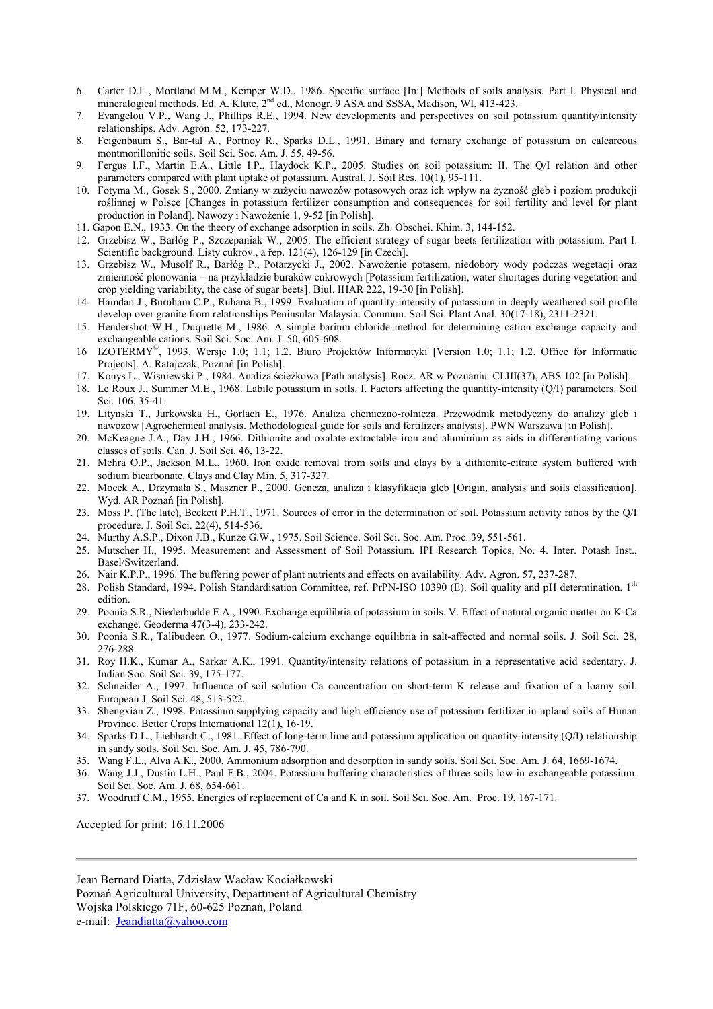- 6. Carter D.L., Mortland M.M., Kemper W.D., 1986. Specific surface [In:] Methods of soils analysis. Part I. Physical and mineralogical methods. Ed. A. Klute, 2<sup>nd</sup> ed., Monogr. 9 ASA and SSSA, Madison, WI, 413-423.
- 7. Evangelou V.P., Wang J., Phillips R.E., 1994. New developments and perspectives on soil potassium quantity/intensity relationships. Adv. Agron. 52, 173-227.
- 8. Feigenbaum S., Bar-tal A., Portnoy R., Sparks D.L., 1991. Binary and ternary exchange of potassium on calcareous montmorillonitic soils. Soil Sci. Soc. Am. J. 55, 49-56.
- 9. Fergus I.F., Martin E.A., Little I.P., Haydock K.P., 2005. Studies on soil potassium: II. The Q/I relation and other parameters compared with plant uptake of potassium. Austral. J. Soil Res. 10(1), 95-111.
- 10. Fotyma M., Gosek S., 2000. Zmiany w zużyciu nawozów potasowych oraz ich wpływ na żyzność gleb i poziom produkcji roślinnej w Polsce [Changes in potassium fertilizer consumption and consequences for soil fertility and level for plant production in Poland]. Nawozy i Nawożenie 1, 9-52 [in Polish].
- 11. Gapon E.N., 1933. On the theory of exchange adsorption in soils. Zh. Obschei. Khim. 3, 144-152.
- 12. Grzebisz W., Barłóg P., Szczepaniak W., 2005. The efficient strategy of sugar beets fertilization with potassium. Part I. Scientific background. Listy cukrov., a řep. 121(4), 126-129 [in Czech].
- 13. Grzebisz W., Musolf R., Barłóg P., Potarzycki J., 2002. Nawożenie potasem, niedobory wody podczas wegetacji oraz zmienność plonowania – na przykładzie buraków cukrowych [Potassium fertilization, water shortages during vegetation and crop yielding variability, the case of sugar beets]. Biul. IHAR 222, 19-30 [in Polish].
- 14 Hamdan J., Burnham C.P., Ruhana B., 1999. Evaluation of quantity-intensity of potassium in deeply weathered soil profile develop over granite from relationships Peninsular Malaysia. Commun. Soil Sci. Plant Anal. 30(17-18), 2311-2321.
- 15. Hendershot W.H., Duquette M., 1986. A simple barium chloride method for determining cation exchange capacity and exchangeable cations. Soil Sci. Soc. Am. J. 50, 605-608.
- 16 IZOTERMY©, 1993. Wersje 1.0; 1.1; 1.2. Biuro Projektów Informatyki [Version 1.0; 1.1; 1.2. Office for Informatic Projects]. A. Ratajczak, Poznań [in Polish].
- 17. Konys L., Wisniewski P., 1984. Analiza ścieżkowa [Path analysis]. Rocz. AR w Poznaniu CLIII(37), ABS 102 [in Polish].
- 18. Le Roux J., Summer M.E., 1968. Labile potassium in soils. I. Factors affecting the quantity-intensity (Q/I) parameters. Soil Sci. 106, 35-41.
- 19. Litynski T., Jurkowska H., Gorlach E., 1976. Analiza chemiczno-rolnicza. Przewodnik metodyczny do analizy gleb i nawozów [Agrochemical analysis. Methodological guide for soils and fertilizers analysis]. PWN Warszawa [in Polish].
- 20. McKeague J.A., Day J.H., 1966. Dithionite and oxalate extractable iron and aluminium as aids in differentiating various classes of soils. Can. J. Soil Sci. 46, 13-22.
- 21. Mehra O.P., Jackson M.L., 1960. Iron oxide removal from soils and clays by a dithionite-citrate system buffered with sodium bicarbonate. Clays and Clay Min. 5, 317-327.
- 22. Mocek A., Drzymała S., Maszner P., 2000. Geneza, analiza i klasyfikacja gleb [Origin, analysis and soils classification]. Wyd. AR Poznań [in Polish].
- 23. Moss P. (The late), Beckett P.H.T., 1971. Sources of error in the determination of soil. Potassium activity ratios by the Q/I procedure. J. Soil Sci. 22(4), 514-536.
- 24. Murthy A.S.P., Dixon J.B., Kunze G.W., 1975. Soil Science. Soil Sci. Soc. Am. Proc. 39, 551-561.
- 25. Mutscher H., 1995. Measurement and Assessment of Soil Potassium. IPI Research Topics, No. 4. Inter. Potash Inst., Basel/Switzerland.
- 26. Nair K.P.P., 1996. The buffering power of plant nutrients and effects on availability. Adv. Agron. 57, 237-287.
- 28. Polish Standard, 1994. Polish Standardisation Committee, ref. PrPN-ISO 10390 (E). Soil quality and pH determination. 1<sup>th</sup> edition.
- 29. Poonia S.R., Niederbudde E.A., 1990. Exchange equilibria of potassium in soils. V. Effect of natural organic matter on K-Ca exchange. Geoderma 47(3-4), 233-242.
- 30. Poonia S.R., Talibudeen O., 1977. Sodium-calcium exchange equilibria in salt-affected and normal soils. J. Soil Sci. 28, 276-288.
- 31. Roy H.K., Kumar A., Sarkar A.K., 1991. Quantity/intensity relations of potassium in a representative acid sedentary. J. Indian Soc. Soil Sci. 39, 175-177.
- 32. Schneider A., 1997. Influence of soil solution Ca concentration on short-term K release and fixation of a loamy soil. European J. Soil Sci. 48, 513-522.
- 33. Shengxian Z., 1998. Potassium supplying capacity and high efficiency use of potassium fertilizer in upland soils of Hunan Province. Better Crops International 12(1), 16-19.
- 34. Sparks D.L., Liebhardt C., 1981. Effect of long-term lime and potassium application on quantity-intensity (Q/I) relationship in sandy soils. Soil Sci. Soc. Am. J. 45, 786-790.
- 35. Wang F.L., Alva A.K., 2000. Ammonium adsorption and desorption in sandy soils. Soil Sci. Soc. Am. J. 64, 1669-1674.
- 36. Wang J.J., Dustin L.H., Paul F.B., 2004. Potassium buffering characteristics of three soils low in exchangeable potassium. Soil Sci. Soc. Am. J. 68, 654-661.
- 37. Woodruff C.M., 1955. Energies of replacement of Ca and K in soil. Soil Sci. Soc. Am. Proc. 19, 167-171.

Accepted for print: 16.11.2006

Jean Bernard Diatta, Zdzisław Wacław Kociałkowski Poznań Agricultural University, Department of Agricultural Chemistry Wojska Polskiego 71F, 60-625 Poznań, Poland e-mail: Jeandiatta@yahoo.com